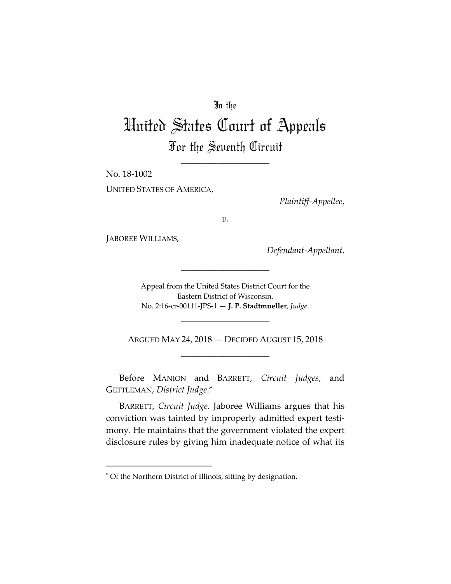## In the

## United States Court of Appeals For the Seventh Circuit

\_\_\_\_\_\_\_\_\_\_\_\_\_\_\_\_\_\_\_\_

No. 18‐1002 UNITED STATES OF AMERICA,

*Plaintiff‐Appellee*,

*v.*

JABOREE WILLIAMS,

*Defendant‐Appellant*.

Appeal from the United States District Court for the Eastern District of Wisconsin. No. 2:16‐cr‐00111‐JPS‐1 — **J. P. Stadtmueller**, *Judge*.

\_\_\_\_\_\_\_\_\_\_\_\_\_\_\_\_\_\_\_\_

ARGUED MAY 24, 2018 — DECIDED AUGUST 15, 2018 \_\_\_\_\_\_\_\_\_\_\_\_\_\_\_\_\_\_\_\_

\_\_\_\_\_\_\_\_\_\_\_\_\_\_\_\_\_\_\_\_

Before MANION and BARRETT, *Circuit Judges*, and GETTLEMAN, *District Judge*.\*

BARRETT, *Circuit Judge*. Jaboree Williams argues that his conviction was tainted by improperly admitted expert testi‐ mony. He maintains that the government violated the expert disclosure rules by giving him inadequate notice of what its

<sup>\*</sup> Of the Northern District of Illinois, sitting by designation.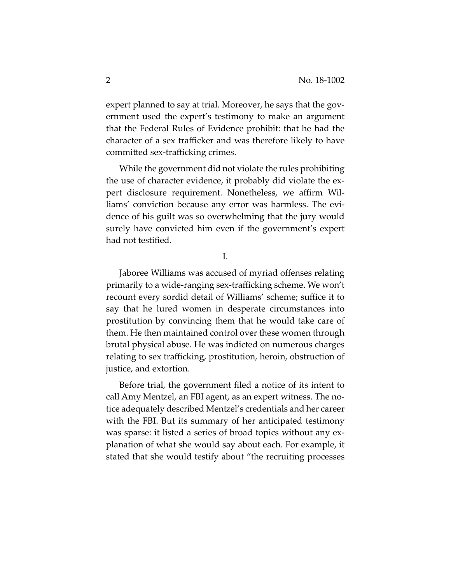expert planned to say at trial. Moreover, he says that the government used the expert's testimony to make an argument that the Federal Rules of Evidence prohibit: that he had the character of a sex trafficker and was therefore likely to have committed sex‐trafficking crimes.

While the government did not violate the rules prohibiting the use of character evidence, it probably did violate the ex‐ pert disclosure requirement. Nonetheless, we affirm Wil‐ liams' conviction because any error was harmless. The evidence of his guilt was so overwhelming that the jury would surely have convicted him even if the government's expert had not testified.

I.

Jaboree Williams was accused of myriad offenses relating primarily to a wide‐ranging sex‐trafficking scheme. We won't recount every sordid detail of Williams' scheme; suffice it to say that he lured women in desperate circumstances into prostitution by convincing them that he would take care of them. He then maintained control over these women through brutal physical abuse. He was indicted on numerous charges relating to sex trafficking, prostitution, heroin, obstruction of justice, and extortion.

Before trial, the government filed a notice of its intent to call Amy Mentzel, an FBI agent, as an expert witness. The no‐ tice adequately described Mentzel's credentials and her career with the FBI. But its summary of her anticipated testimony was sparse: it listed a series of broad topics without any explanation of what she would say about each. For example, it stated that she would testify about "the recruiting processes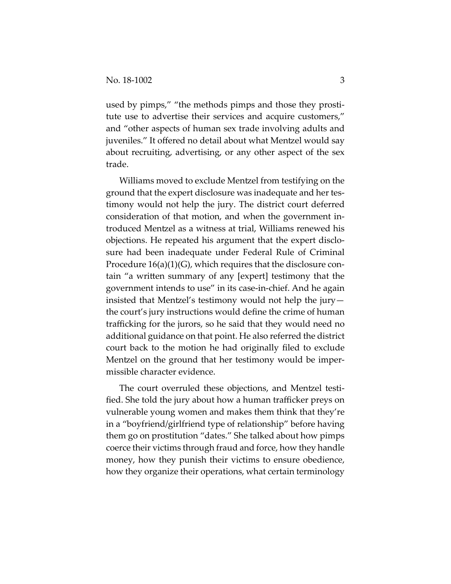used by pimps," "the methods pimps and those they prostitute use to advertise their services and acquire customers," and "other aspects of human sex trade involving adults and juveniles." It offered no detail about what Mentzel would say about recruiting, advertising, or any other aspect of the sex trade.

Williams moved to exclude Mentzel from testifying on the ground that the expert disclosure was inadequate and her tes‐ timony would not help the jury. The district court deferred consideration of that motion, and when the government in‐ troduced Mentzel as a witness at trial, Williams renewed his objections. He repeated his argument that the expert disclo‐ sure had been inadequate under Federal Rule of Criminal Procedure  $16(a)(1)(G)$ , which requires that the disclosure contain "a written summary of any [expert] testimony that the government intends to use" in its case‐in‐chief. And he again insisted that Mentzel's testimony would not help the jury the court's jury instructions would define the crime of human trafficking for the jurors, so he said that they would need no additional guidance on that point. He also referred the district court back to the motion he had originally filed to exclude Mentzel on the ground that her testimony would be imper‐ missible character evidence.

The court overruled these objections, and Mentzel testi‐ fied. She told the jury about how a human trafficker preys on vulnerable young women and makes them think that they're in a "boyfriend/girlfriend type of relationship" before having them go on prostitution "dates." She talked about how pimps coerce their victims through fraud and force, how they handle money, how they punish their victims to ensure obedience, how they organize their operations, what certain terminology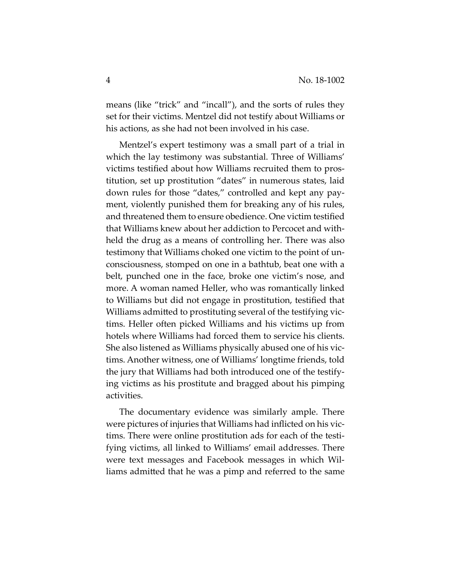means (like "trick" and "incall"), and the sorts of rules they set for their victims. Mentzel did not testify about Williams or his actions, as she had not been involved in his case.

Mentzel's expert testimony was a small part of a trial in which the lay testimony was substantial. Three of Williams' victims testified about how Williams recruited them to pros‐ titution, set up prostitution "dates" in numerous states, laid down rules for those "dates," controlled and kept any pay‐ ment, violently punished them for breaking any of his rules, and threatened them to ensure obedience. One victim testified that Williams knew about her addiction to Percocet and with‐ held the drug as a means of controlling her. There was also testimony that Williams choked one victim to the point of un‐ consciousness, stomped on one in a bathtub, beat one with a belt, punched one in the face, broke one victim's nose, and more. A woman named Heller, who was romantically linked to Williams but did not engage in prostitution, testified that Williams admitted to prostituting several of the testifying vic‐ tims. Heller often picked Williams and his victims up from hotels where Williams had forced them to service his clients. She also listened as Williams physically abused one of his vic‐ tims. Another witness, one of Williams' longtime friends, told the jury that Williams had both introduced one of the testify‐ ing victims as his prostitute and bragged about his pimping activities.

The documentary evidence was similarly ample. There were pictures of injuries that Williams had inflicted on his victims. There were online prostitution ads for each of the testi‐ fying victims, all linked to Williams' email addresses. There were text messages and Facebook messages in which Wil‐ liams admitted that he was a pimp and referred to the same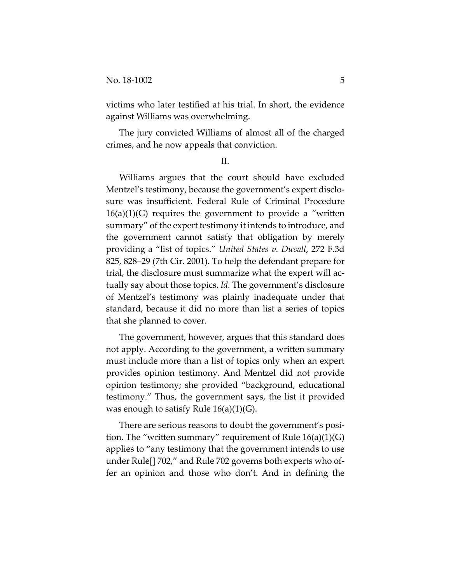victims who later testified at his trial. In short, the evidence against Williams was overwhelming.

The jury convicted Williams of almost all of the charged crimes, and he now appeals that conviction.

II.

Williams argues that the court should have excluded Mentzel's testimony, because the government's expert disclosure was insufficient. Federal Rule of Criminal Procedure  $16(a)(1)(G)$  requires the government to provide a "written summary" of the expert testimony it intends to introduce, and the government cannot satisfy that obligation by merely providing a "list of topics." *United States v. Duvall*, 272 F.3d 825, 828–29 (7th Cir. 2001). To help the defendant prepare for trial, the disclosure must summarize what the expert will ac‐ tually say about those topics. *Id.* The government's disclosure of Mentzel's testimony was plainly inadequate under that standard, because it did no more than list a series of topics that she planned to cover.

The government, however, argues that this standard does not apply. According to the government, a written summary must include more than a list of topics only when an expert provides opinion testimony. And Mentzel did not provide opinion testimony; she provided "background, educational testimony." Thus, the government says, the list it provided was enough to satisfy Rule  $16(a)(1)(G)$ .

There are serious reasons to doubt the government's position. The "written summary" requirement of Rule  $16(a)(1)(G)$ applies to "any testimony that the government intends to use under Rule[] 702," and Rule 702 governs both experts who of‐ fer an opinion and those who don't. And in defining the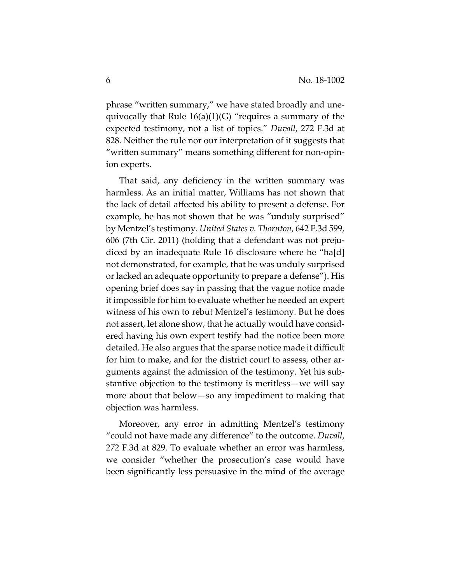phrase "written summary," we have stated broadly and une‐ quivocally that Rule  $16(a)(1)(G)$  "requires a summary of the expected testimony, not a list of topics." *Duvall*, 272 F.3d at 828. Neither the rule nor our interpretation of it suggests that "written summary" means something different for non‐opin‐ ion experts.

That said, any deficiency in the written summary was harmless. As an initial matter, Williams has not shown that the lack of detail affected his ability to present a defense. For example, he has not shown that he was "unduly surprised" by Mentzel's testimony. *United States v. Thornton*, 642 F.3d 599, 606 (7th Cir. 2011) (holding that a defendant was not preju‐ diced by an inadequate Rule 16 disclosure where he "ha[d] not demonstrated, for example, that he was unduly surprised or lacked an adequate opportunity to prepare a defense"). His opening brief does say in passing that the vague notice made it impossible for him to evaluate whether he needed an expert witness of his own to rebut Mentzel's testimony. But he does not assert, let alone show, that he actually would have consid‐ ered having his own expert testify had the notice been more detailed. He also argues that the sparse notice made it difficult for him to make, and for the district court to assess, other arguments against the admission of the testimony. Yet his sub‐ stantive objection to the testimony is meritless—we will say more about that below—so any impediment to making that objection was harmless.

Moreover, any error in admitting Mentzel's testimony "could not have made any difference" to the outcome. *Duvall*, 272 F.3d at 829. To evaluate whether an error was harmless, we consider "whether the prosecution's case would have been significantly less persuasive in the mind of the average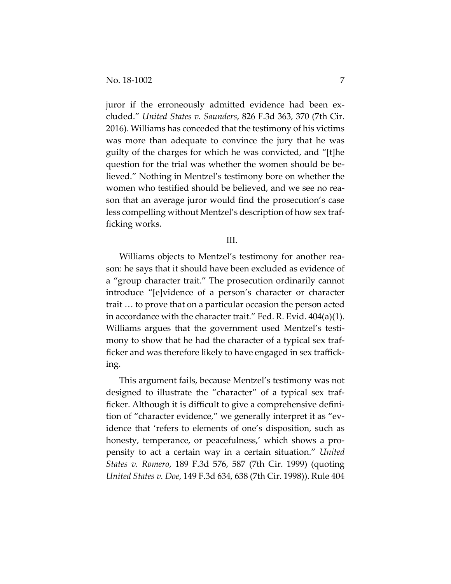juror if the erroneously admitted evidence had been excluded." *United States v. Saunders*, 826 F.3d 363, 370 (7th Cir. 2016). Williams has conceded that the testimony of his victims was more than adequate to convince the jury that he was guilty of the charges for which he was convicted, and "[t]he question for the trial was whether the women should be be‐ lieved." Nothing in Mentzel's testimony bore on whether the women who testified should be believed, and we see no rea‐ son that an average juror would find the prosecution's case less compelling without Mentzel's description of how sex traf‐ ficking works.

## III.

Williams objects to Mentzel's testimony for another reason: he says that it should have been excluded as evidence of a "group character trait." The prosecution ordinarily cannot introduce "[e]vidence of a person's character or character trait … to prove that on a particular occasion the person acted in accordance with the character trait." Fed. R. Evid. 404(a)(1). Williams argues that the government used Mentzel's testimony to show that he had the character of a typical sex trafficker and was therefore likely to have engaged in sex traffick‐ ing.

This argument fails, because Mentzel's testimony was not designed to illustrate the "character" of a typical sex traf‐ ficker. Although it is difficult to give a comprehensive defini‐ tion of "character evidence," we generally interpret it as "ev‐ idence that 'refers to elements of one's disposition, such as honesty, temperance, or peacefulness,' which shows a propensity to act a certain way in a certain situation." *United States v. Romero*, 189 F.3d 576, 587 (7th Cir. 1999) (quoting *United States v. Doe*, 149 F.3d 634, 638 (7th Cir. 1998)). Rule 404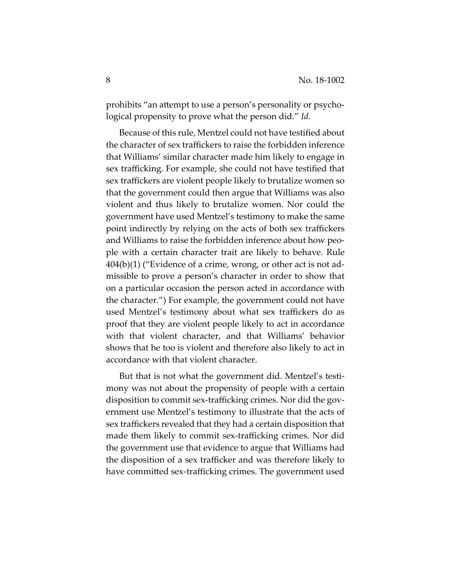prohibits "an attempt to use a person's personality or psycho‐ logical propensity to prove what the person did." *Id.*

Because of this rule, Mentzel could not have testified about the character of sex traffickers to raise the forbidden inference that Williams' similar character made him likely to engage in sex trafficking. For example, she could not have testified that sex traffickers are violent people likely to brutalize women so that the government could then argue that Williams was also violent and thus likely to brutalize women. Nor could the government have used Mentzel's testimony to make the same point indirectly by relying on the acts of both sex traffickers and Williams to raise the forbidden inference about how peo‐ ple with a certain character trait are likely to behave. Rule  $404(b)(1)$  ("Evidence of a crime, wrong, or other act is not admissible to prove a person's character in order to show that on a particular occasion the person acted in accordance with the character.") For example, the government could not have used Mentzel's testimony about what sex traffickers do as proof that they are violent people likely to act in accordance with that violent character, and that Williams' behavior shows that he too is violent and therefore also likely to act in accordance with that violent character.

But that is not what the government did. Mentzel's testi‐ mony was not about the propensity of people with a certain disposition to commit sex‐trafficking crimes. Nor did the gov‐ ernment use Mentzel's testimony to illustrate that the acts of sex traffickers revealed that they had a certain disposition that made them likely to commit sex‐trafficking crimes. Nor did the government use that evidence to argue that Williams had the disposition of a sex trafficker and was therefore likely to have committed sex-trafficking crimes. The government used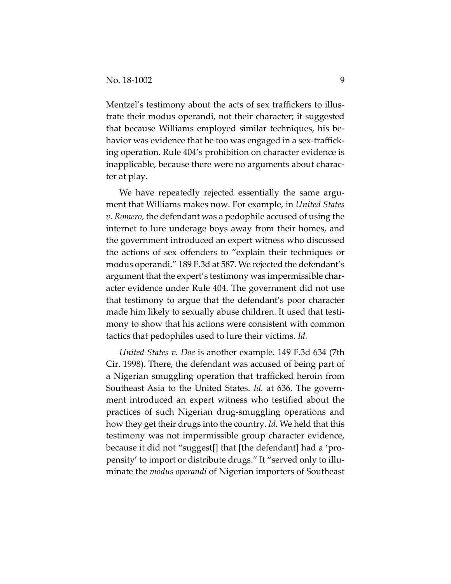Mentzel's testimony about the acts of sex traffickers to illustrate their modus operandi, not their character; it suggested that because Williams employed similar techniques, his be‐ havior was evidence that he too was engaged in a sex-trafficking operation. Rule 404's prohibition on character evidence is inapplicable, because there were no arguments about charac‐ ter at play.

We have repeatedly rejected essentially the same argument that Williams makes now. For example, in *United States v. Romero*, the defendant was a pedophile accused of using the internet to lure underage boys away from their homes, and the government introduced an expert witness who discussed the actions of sex offenders to "explain their techniques or modus operandi." 189 F.3d at 587. We rejected the defendant's argument that the expert's testimony was impermissible char‐ acter evidence under Rule 404. The government did not use that testimony to argue that the defendant's poor character made him likely to sexually abuse children. It used that testimony to show that his actions were consistent with common tactics that pedophiles used to lure their victims. *Id.*

*United States v. Doe* is another example. 149 F.3d 634 (7th Cir. 1998). There, the defendant was accused of being part of a Nigerian smuggling operation that trafficked heroin from Southeast Asia to the United States. *Id.* at 636. The govern‐ ment introduced an expert witness who testified about the practices of such Nigerian drug‐smuggling operations and how they get their drugs into the country. *Id.* We held that this testimony was not impermissible group character evidence, because it did not "suggest[] that [the defendant] had a 'pro‐ pensity' to import or distribute drugs." It "served only to illu‐ minate the *modus operandi* of Nigerian importers of Southeast